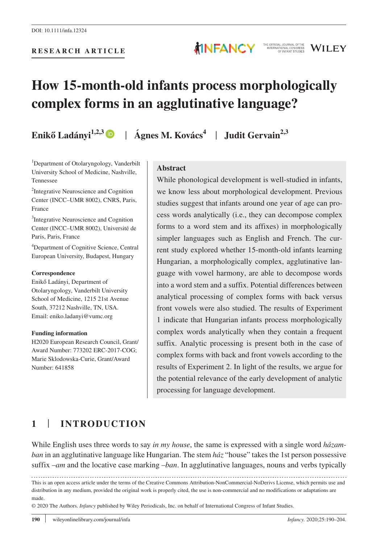# **How 15-month-old infants process morphologically complex forms in an agglutinative language?**

**MINFANCY** 

**Enikő Ladányi**<sup>1,2,[3](https://orcid.org/0000-0003-2853-682X)</sup>  $\bullet$  | Ágnes M. Kovács<sup>4</sup> | Judit Gervain<sup>2,3</sup>

1 Department of Otolaryngology, Vanderbilt University School of Medicine, Nashville, Tennessee

<sup>2</sup>Integrative Neuroscience and Cognition Center (INCC–UMR 8002), CNRS, Paris, France

<sup>3</sup>Integrative Neuroscience and Cognition Center (INCC–UMR 8002), Université de Paris, Paris, France

4 Department of Cognitive Science, Central European University, Budapest, Hungary

#### **Correspondence**

Enikő Ladányi, Department of Otolaryngology, Vanderbilt University School of Medicine, 1215 21st Avenue South, 37212 Nashville, TN, USA. Email: [eniko.ladanyi@vumc.org](mailto:eniko.ladanyi@vumc.org)

#### **Funding information**

H2020 European Research Council, Grant/ Award Number: 773202 ERC-2017-COG; Marie Sklodowska-Curie, Grant/Award Number: 641858

#### **Abstract**

While phonological development is well-studied in infants, we know less about morphological development. Previous studies suggest that infants around one year of age can process words analytically (i.e., they can decompose complex forms to a word stem and its affixes) in morphologically simpler languages such as English and French. The current study explored whether 15-month-old infants learning Hungarian, a morphologically complex, agglutinative language with vowel harmony, are able to decompose words into a word stem and a suffix. Potential differences between analytical processing of complex forms with back versus front vowels were also studied. The results of Experiment 1 indicate that Hungarian infants process morphologically complex words analytically when they contain a frequent suffix. Analytic processing is present both in the case of complex forms with back and front vowels according to the results of Experiment 2. In light of the results, we argue for the potential relevance of the early development of analytic processing for language development.

# **1** | **INTRODUCTION**

While English uses three words to say *in my house*, the same is expressed with a single word *házamban* in an agglutinative language like Hungarian. The stem *ház* "house" takes the 1st person possessive suffix –*am* and the locative case marking –*ban*. In agglutinative languages, nouns and verbs typically

This is an open access article under the terms of the [Creative Commons Attribution-NonCommercial-NoDerivs](http://creativecommons.org/licenses/by-nc-nd/4.0/) License, which permits use and distribution in any medium, provided the original work is properly cited, the use is non-commercial and no modifications or adaptations are made.

© 2020 The Authors. *Infancy* published by Wiley Periodicals, Inc. on behalf of International Congress of Infant Studies.

THE OFFICIAL JOURNAL OFTHE<br>INTERNATIONAL CONGRESS<br>OF INFANT STUDIES WILEY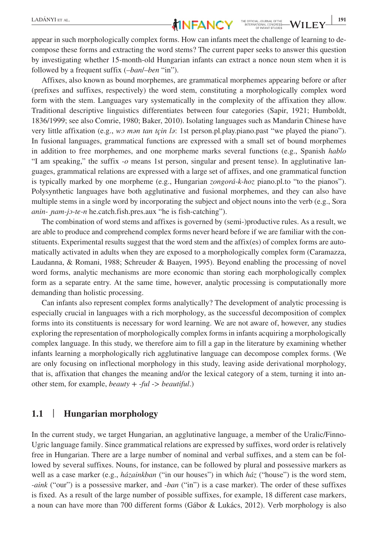appear in such morphologically complex forms. How can infants meet the challenge of learning to decompose these forms and extracting the word stems? The current paper seeks to answer this question by investigating whether 15-month-old Hungarian infants can extract a nonce noun stem when it is followed by a frequent suffix (–*ban*/–*ben* "in").

Affixes, also known as bound morphemes, are grammatical morphemes appearing before or after (prefixes and suffixes, respectively) the word stem, constituting a morphologically complex word form with the stem. Languages vary systematically in the complexity of the affixation they allow. Traditional descriptive linguistics differentiates between four categories (Sapir, 1921; Humboldt, 1836/1999; see also Comrie, 1980; Baker, 2010). Isolating languages such as Mandarin Chinese have very little affixation (e.g., *wɔ mən tan tçin lə*: 1st person.pl.play.piano.past "we played the piano"). In fusional languages, grammatical functions are expressed with a small set of bound morphemes in addition to free morphemes, and one morpheme marks several functions (e.g., Spanish *hablo* "I am speaking," the suffix *-o* means 1st person, singular and present tense). In agglutinative languages, grammatical relations are expressed with a large set of affixes, and one grammatical function is typically marked by one morpheme (e.g., Hungarian *zongorá-k-hoz* piano.pl.to "to the pianos"). Polysynthetic languages have both agglutinative and fusional morphemes, and they can also have multiple stems in a single word by incorporating the subject and object nouns into the verb (e.g., Sora *anin- ɲam-jɔ-te-n* he.catch.fish.pres.aux "he is fish-catching").

The combination of word stems and affixes is governed by (semi-)productive rules. As a result, we are able to produce and comprehend complex forms never heard before if we are familiar with the constituents. Experimental results suggest that the word stem and the affix(es) of complex forms are automatically activated in adults when they are exposed to a morphologically complex form (Caramazza, Laudanna, & Romani, 1988; Schreuder & Baayen, 1995). Beyond enabling the processing of novel word forms, analytic mechanisms are more economic than storing each morphologically complex form as a separate entry. At the same time, however, analytic processing is computationally more demanding than holistic processing.

Can infants also represent complex forms analytically? The development of analytic processing is especially crucial in languages with a rich morphology, as the successful decomposition of complex forms into its constituents is necessary for word learning. We are not aware of, however, any studies exploring the representation of morphologically complex forms in infants acquiring a morphologically complex language. In this study, we therefore aim to fill a gap in the literature by examining whether infants learning a morphologically rich agglutinative language can decompose complex forms. (We are only focusing on inflectional morphology in this study, leaving aside derivational morphology, that is, affixation that changes the meaning and/or the lexical category of a stem, turning it into another stem, for example, *beauty* + -*ful* -> *beautiful*.)

#### **1.1** | **Hungarian morphology**

In the current study, we target Hungarian, an agglutinative language, a member of the Uralic/Finno-Ugric language family. Since grammatical relations are expressed by suffixes, word order is relatively free in Hungarian. There are a large number of nominal and verbal suffixes, and a stem can be followed by several suffixes. Nouns, for instance, can be followed by plural and possessive markers as well as a case marker (e.g., *házainkban* ("in our houses") in which *ház* ("house") is the word stem, *-aink* ("our") is a possessive marker, and *-ban* ("in") is a case marker). The order of these suffixes is fixed. As a result of the large number of possible suffixes, for example, 18 different case markers, a noun can have more than 700 different forms (Gábor & Lukács, 2012). Verb morphology is also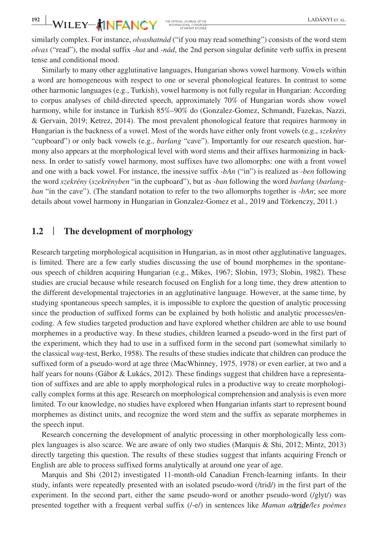similarly complex. For instance, *olvashatnád* ("if you may read something") consists of the word stem *olvas* ("read"), the modal suffix *-hat* and *-nád*, the 2nd person singular definite verb suffix in present tense and conditional mood.

Similarly to many other agglutinative languages, Hungarian shows vowel harmony. Vowels within a word are homogeneous with respect to one or several phonological features. In contrast to some other harmonic languages (e.g., Turkish), vowel harmony is not fully regular in Hungarian: According to corpus analyses of child-directed speech, approximately 70% of Hungarian words show vowel harmony, while for instance in Turkish 85%–90% do (Gonzalez-Gomez, Schmandt, Fazekas, Nazzi, & Gervain, 2019; Ketrez, 2014). The most prevalent phonological feature that requires harmony in Hungarian is the backness of a vowel. Most of the words have either only front vowels (e.g., *szekrény* "cupboard") or only back vowels (e.g., *barlang* "cave"). Importantly for our research question, harmony also appears at the morphological level with word stems and their affixes harmonizing in backness. In order to satisfy vowel harmony, most suffixes have two allomorphs: one with a front vowel and one with a back vowel. For instance, the inessive suffix -*bAn* ("in") is realized as *-ben* following the word *szekrény* (*szekrényben* "in the cupboard"), but as *-ban* following the word *barlang* (*barlangban* "in the cave"). (The standard notation to refer to the two allomorphs together is *-bAn*; see more details about vowel harmony in Hungarian in Gonzalez-Gomez et al., 2019 and Törkenczy, 2011.)

#### **1.2** | **The development of morphology**

Research targeting morphological acquisition in Hungarian, as in most other agglutinative languages, is limited. There are a few early studies discussing the use of bound morphemes in the spontaneous speech of children acquiring Hungarian (e.g., Mikes, 1967; Slobin, 1973; Slobin, 1982). These studies are crucial because while research focused on English for a long time, they drew attention to the different developmental trajectories in an agglutinative language. However, at the same time, by studying spontaneous speech samples, it is impossible to explore the question of analytic processing since the production of suffixed forms can be explained by both holistic and analytic processes/encoding. A few studies targeted production and have explored whether children are able to use bound morphemes in a productive way. In these studies, children learned a pseudo-word in the first part of the experiment, which they had to use in a suffixed form in the second part (somewhat similarly to the classical *wug*-test, Berko, 1958). The results of these studies indicate that children can produce the suffixed form of a pseudo-word at age three (MacWhinney, 1975, 1978) or even earlier, at two and a half years for nouns (Gábor & Lukács, 2012). These findings suggest that children have a representation of suffixes and are able to apply morphological rules in a productive way to create morphologically complex forms at this age. Research on morphological comprehension and analysis is even more limited. To our knowledge, no studies have explored when Hungarian infants start to represent bound morphemes as distinct units, and recognize the word stem and the suffix as separate morphemes in the speech input.

Research concerning the development of analytic processing in other morphologically less complex languages is also scarce. We are aware of only two studies (Marquis & Shi, 2012; Mintz, 2013) directly targeting this question. The results of these studies suggest that infants acquiring French or English are able to process suffixed forms analytically at around one year of age.

Marquis and Shi (2012) investigated 11-month-old Canadian French-learning infants. In their study, infants were repeatedly presented with an isolated pseudo-word (/trid/) in the first part of the experiment. In the second part, either the same pseudo-word or another pseudo-word (/glyt/) was presented together with a frequent verbal suffix (/-e/) in sentences like *Maman a/tride/les poèmes*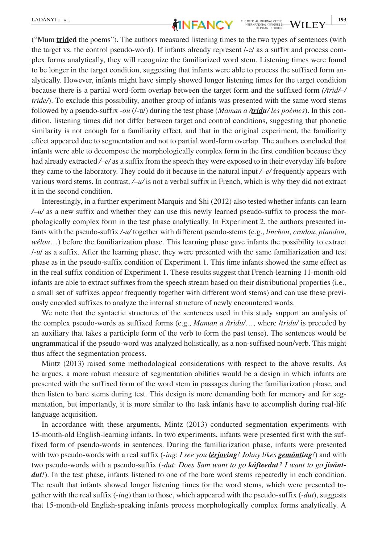("Mum **trided** the poems"). The authors measured listening times to the two types of sentences (with the target vs. the control pseudo-word). If infants already represent /-e/ as a suffix and process complex forms analytically, they will recognize the familiarized word stem. Listening times were found to be longer in the target condition, suggesting that infants were able to process the suffixed form analytically. However, infants might have simply showed longer listening times for the target condition because there is a partial word-form overlap between the target form and the suffixed form *(/trid/*–*/ tride/*). To exclude this possibility, another group of infants was presented with the same word stems followed by a pseudo-suffix *-ou* (/-u/) during the test phase (*Maman a /tridu/ les poèmes*). In this condition, listening times did not differ between target and control conditions, suggesting that phonetic similarity is not enough for a familiarity effect, and that in the original experiment, the familiarity effect appeared due to segmentation and not to partial word-form overlap. The authors concluded that infants were able to decompose the morphologically complex form in the first condition because they had already extracted */–e/* as a suffix from the speech they were exposed to in their everyday life before they came to the laboratory. They could do it because in the natural input */–e/* frequently appears with various word stems. In contrast, */–u/* is not a verbal suffix in French, which is why they did not extract it in the second condition.

Interestingly, in a further experiment Marquis and Shi (2012) also tested whether infants can learn */–u/* as a new suffix and whether they can use this newly learned pseudo-suffix to process the morphologically complex form in the test phase analytically. In Experiment 2, the authors presented infants with the pseudo-suffix */-u/* together with different pseudo-stems (e.g., *linchou*, *cradou*, *plandou*, *wélou*…) before the familiarization phase. This learning phase gave infants the possibility to extract /-*u*/ as a suffix. After the learning phase, they were presented with the same familiarization and test phase as in the pseudo-suffix condition of Experiment 1. This time infants showed the same effect as in the real suffix condition of Experiment 1. These results suggest that French-learning 11-month-old infants are able to extract suffixes from the speech stream based on their distributional properties (i.e., a small set of suffixes appear frequently together with different word stems) and can use these previously encoded suffixes to analyze the internal structure of newly encountered words.

We note that the syntactic structures of the sentences used in this study support an analysis of the complex pseudo-words as suffixed forms (e.g., *Maman a /tridu/*…, where /*tridu/* is preceded by an auxiliary that takes a participle form of the verb to form the past tense). The sentences would be ungrammatical if the pseudo-word was analyzed holistically, as a non-suffixed noun/verb. This might thus affect the segmentation process.

Mintz (2013) raised some methodological considerations with respect to the above results. As he argues, a more robust measure of segmentation abilities would be a design in which infants are presented with the suffixed form of the word stem in passages during the familiarization phase, and then listen to bare stems during test. This design is more demanding both for memory and for segmentation, but importantly, it is more similar to the task infants have to accomplish during real-life language acquisition.

In accordance with these arguments, Mintz (2013) conducted segmentation experiments with 15-month-old English-learning infants. In two experiments, infants were presented first with the suffixed form of pseudo-words in sentences. During the familiarization phase, infants were presented with two pseudo-words with a real suffix (*-ing*: *I see you lérjoving! Johny likes gemónting!*) and with two pseudo-words with a pseudo-suffix (*-dut*: *Does Sam want to go káfteedut? I want to go jivántdut!*). In the test phase, infants listened to one of the bare word stems repeatedly in each condition. The result that infants showed longer listening times for the word stems, which were presented together with the real suffix (*-ing*) than to those, which appeared with the pseudo-suffix (*-dut*), suggests that 15-month-old English-speaking infants process morphologically complex forms analytically. A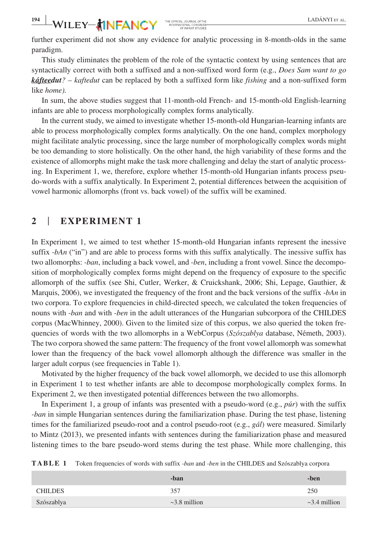further experiment did not show any evidence for analytic processing in 8-month-olds in the same paradigm.

This study eliminates the problem of the role of the syntactic context by using sentences that are syntactically correct with both a suffixed and a non-suffixed word form (e.g., *Does Sam want to go káfteedut?* – *kaftedut* can be replaced by both a suffixed form like *fishing* and a non-suffixed form like *home).*

In sum, the above studies suggest that 11-month-old French- and 15-month-old English-learning infants are able to process morphologically complex forms analytically.

In the current study, we aimed to investigate whether 15-month-old Hungarian-learning infants are able to process morphologically complex forms analytically. On the one hand, complex morphology might facilitate analytic processing, since the large number of morphologically complex words might be too demanding to store holistically. On the other hand, the high variability of these forms and the existence of allomorphs might make the task more challenging and delay the start of analytic processing. In Experiment 1, we, therefore, explore whether 15-month-old Hungarian infants process pseudo-words with a suffix analytically. In Experiment 2, potential differences between the acquisition of vowel harmonic allomorphs (front vs. back vowel) of the suffix will be examined.

# **2** | **EXPERIMENT 1**

In Experiment 1, we aimed to test whether 15-month-old Hungarian infants represent the inessive suffix *-bAn* ("in") and are able to process forms with this suffix analytically. The inessive suffix has two allomorphs: *-ban*, including a back vowel, and *-ben*, including a front vowel. Since the decomposition of morphologically complex forms might depend on the frequency of exposure to the specific allomorph of the suffix (see Shi, Cutler, Werker, & Cruickshank, 2006; Shi, Lepage, Gauthier, & Marquis, 2006), we investigated the frequency of the front and the back versions of the suffix *-bAn* in two corpora. To explore frequencies in child-directed speech, we calculated the token frequencies of nouns with *-ban* and with *-ben* in the adult utterances of the Hungarian subcorpora of the CHILDES corpus (MacWhinney, 2000). Given to the limited size of this corpus, we also queried the token frequencies of words with the two allomorphs in a WebCorpus (*Szószablya* database, Németh, 2003). The two corpora showed the same pattern: The frequency of the front vowel allomorph was somewhat lower than the frequency of the back vowel allomorph although the difference was smaller in the larger adult corpus (see frequencies in Table 1).

Motivated by the higher frequency of the back vowel allomorph, we decided to use this allomorph in Experiment 1 to test whether infants are able to decompose morphologically complex forms. In Experiment 2, we then investigated potential differences between the two allomorphs.

In Experiment 1, a group of infants was presented with a pseudo-word (e.g., *púr*) with the suffix *-ban* in simple Hungarian sentences during the familiarization phase. During the test phase, listening times for the familiarized pseudo-root and a control pseudo-root (e.g., *gál*) were measured. Similarly to Mintz (2013), we presented infants with sentences during the familiarization phase and measured listening times to the bare pseudo-word stems during the test phase. While more challenging, this

| TABLE 1<br>Token frequencies of words with suffix <i>-ban</i> and <i>-ben</i> in the CHILDES and Szószablya corpora |
|---------------------------------------------------------------------------------------------------------------------|
|---------------------------------------------------------------------------------------------------------------------|

|                | -ban               | -ben               |
|----------------|--------------------|--------------------|
| <b>CHILDES</b> | 357                | 250                |
| Szószablya     | $\sim$ 3.8 million | $\sim$ 3.4 million |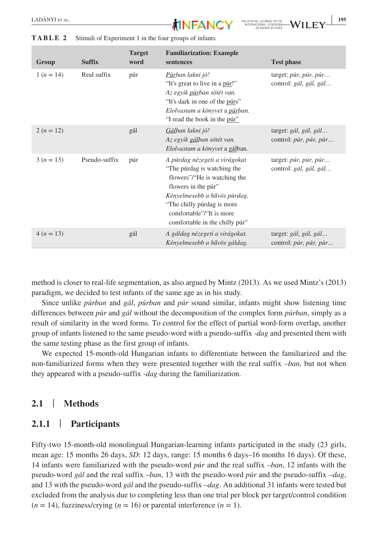



| Group     | <b>Suffix</b> | <b>Target</b><br>word | <b>Familiarization: Example</b><br>sentences                                                                                                                                                                                                     | <b>Test phase</b>                                                |
|-----------|---------------|-----------------------|--------------------------------------------------------------------------------------------------------------------------------------------------------------------------------------------------------------------------------------------------|------------------------------------------------------------------|
| $1(n=14)$ | Real suffix   | púr                   | Púrban lakni jó!<br>"It's great to live in a pur!"<br>Az egyik púrban sötét van.<br>"It's dark in one of the purs"<br>Elolvastam a könyvet a púrban.<br>"I read the book in the pur"                                                             | target: púr, púr, púr<br>control: gál, gál, gál                  |
| $2(n=12)$ |               | gál                   | Gálban lakni jó!<br>Az egyik gálban sötét van.<br>Elolvastam a könyvet a gálban.                                                                                                                                                                 | target: gál, gál, gál<br>control: púr, púr, púr                  |
| $3(n=13)$ | Pseudo-suffix | púr                   | A púrdag nézegeti a virágokat<br>"The púrdag is watching the<br>flowers"/"He is watching the<br>flowers in the púr"<br>Kényelmesebb a hűvös púrdag.<br>"The chilly púrdag is more"<br>comfortable"/"It is more<br>comfortable in the chilly púr" | target: $p\nu r$ , $p\nu r$ , $p\nu r$<br>control: gál, gál, gál |
| $4(n=13)$ |               | gál                   | A gáldag nézegeti a virágokat.<br>Kényelmesebb a hűvös gáldag.                                                                                                                                                                                   | target: gál, gál, gál<br>control: púr, púr, púr                  |

**TABLE 2** Stimuli of Experiment 1 in the four groups of infants

method is closer to real-life segmentation, as also argued by Mintz (2013). As we used Mintz's (2013) paradigm, we decided to test infants of the same age as in his study.

Since unlike *púrban* and *gál*, *púrban* and *púr* sound similar, infants might show listening time differences between *púr* and *gál* without the decomposition of the complex form *púrban*, simply as a result of similarity in the word forms. To control for the effect of partial word-form overlap, another group of infants listened to the same pseudo-word with a pseudo-suffix *-dag* and presented them with the same testing phase as the first group of infants.

We expected 15-month-old Hungarian infants to differentiate between the familiarized and the non-familiarized forms when they were presented together with the real suffix *–ban,* but not when they appeared with a pseudo-suffix *-dag* during the familiarization.

#### **2.1** | **Methods**

#### **2.1.1** | **Participants**

Fifty-two 15-month-old monolingual Hungarian-learning infants participated in the study (23 girls, mean age: 15 months 26 days, *SD*: 12 days, range: 15 months 6 days–16 months 16 days). Of these, 14 infants were familiarized with the pseudo-word *púr* and the real suffix –*ban*, 12 infants with the pseudo-word *gál* and the real suffix –*ban*, 13 with the pseudo-word *púr* and the pseudo-suffix –*dag*, and 13 with the pseudo-word *gál* and the pseudo-suffix –*dag*. An additional 31 infants were tested but excluded from the analysis due to completing less than one trial per block per target/control condition  $(n = 14)$ , fuzziness/crying  $(n = 16)$  or parental interference  $(n = 1)$ .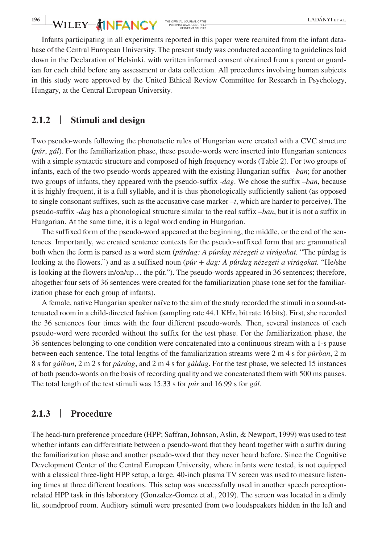**196 WILEY-AINFANCY** THE OFFICIAL JOURNAL OFTHE **LADÁNYI ET AL.** 

Infants participating in all experiments reported in this paper were recruited from the infant database of the Central European University. The present study was conducted according to guidelines laid down in the Declaration of Helsinki, with written informed consent obtained from a parent or guardian for each child before any assessment or data collection. All procedures involving human subjects in this study were approved by the United Ethical Review Committee for Research in Psychology, Hungary, at the Central European University.

## **2.1.2** | **Stimuli and design**

Two pseudo-words following the phonotactic rules of Hungarian were created with a CVC structure (*púr*, *gál*). For the familiarization phase, these pseudo-words were inserted into Hungarian sentences with a simple syntactic structure and composed of high frequency words (Table 2). For two groups of infants, each of the two pseudo-words appeared with the existing Hungarian suffix *–ban*; for another two groups of infants, they appeared with the pseudo-suffix *-dag*. We chose the suffix *–ban*, because it is highly frequent, it is a full syllable, and it is thus phonologically sufficiently salient (as opposed to single consonant suffixes, such as the accusative case marker *–t*, which are harder to perceive). The pseudo-suffix *-dag* has a phonological structure similar to the real suffix *–ban*, but it is not a suffix in Hungarian. At the same time, it is a legal word ending in Hungarian.

The suffixed form of the pseudo-word appeared at the beginning, the middle, or the end of the sentences. Importantly, we created sentence contexts for the pseudo-suffixed form that are grammatical both when the form is parsed as a word stem (*púrdag: A púrdag nézegeti a virágokat.* "The púrdag is looking at the flowers.") and as a suffixed noun (*púr* + *dag: A púrdag nézegeti a virágokat.* "He/she is looking at the flowers in/on/up… the púr."). The pseudo-words appeared in 36 sentences; therefore, altogether four sets of 36 sentences were created for the familiarization phase (one set for the familiarization phase for each group of infants).

A female, native Hungarian speaker naïve to the aim of the study recorded the stimuli in a sound-attenuated room in a child-directed fashion (sampling rate 44.1 KHz, bit rate 16 bits). First, she recorded the 36 sentences four times with the four different pseudo-words. Then, several instances of each pseudo-word were recorded without the suffix for the test phase. For the familiarization phase, the 36 sentences belonging to one condition were concatenated into a continuous stream with a 1-s pause between each sentence. The total lengths of the familiarization streams were 2 m 4 s for *púrban*, 2 m 8 s for *gálban*, 2 m 2 s for *púrdag*, and 2 m 4 s for *gáldag*. For the test phase, we selected 15 instances of both pseudo-words on the basis of recording quality and we concatenated them with 500 ms pauses. The total length of the test stimuli was 15.33 s for *púr* and 16.99 s for *gál*.

# **2.1.3** | **Procedure**

The head-turn preference procedure (HPP; Saffran, Johnson, Aslin, & Newport, 1999) was used to test whether infants can differentiate between a pseudo-word that they heard together with a suffix during the familiarization phase and another pseudo-word that they never heard before. Since the Cognitive Development Center of the Central European University, where infants were tested, is not equipped with a classical three-light HPP setup, a large, 40-inch plasma TV screen was used to measure listening times at three different locations. This setup was successfully used in another speech perceptionrelated HPP task in this laboratory (Gonzalez-Gomez et al., 2019). The screen was located in a dimly lit, soundproof room. Auditory stimuli were presented from two loudspeakers hidden in the left and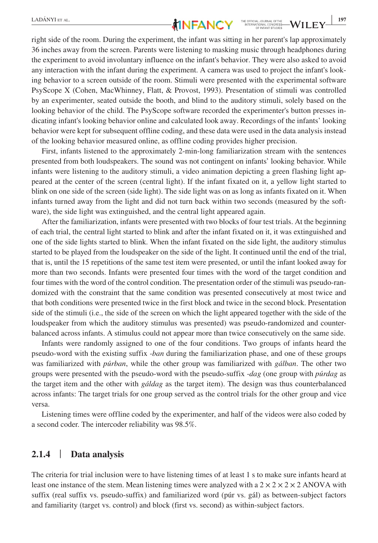

right side of the room. During the experiment, the infant was sitting in her parent's lap approximately 36 inches away from the screen. Parents were listening to masking music through headphones during the experiment to avoid involuntary influence on the infant's behavior. They were also asked to avoid any interaction with the infant during the experiment. A camera was used to project the infant's looking behavior to a screen outside of the room. Stimuli were presented with the experimental software PsyScope X (Cohen, MacWhinney, Flatt, & Provost, 1993). Presentation of stimuli was controlled by an experimenter, seated outside the booth, and blind to the auditory stimuli, solely based on the looking behavior of the child. The PsyScope software recorded the experimenter's button presses indicating infant's looking behavior online and calculated look away. Recordings of the infants' looking behavior were kept for subsequent offline coding, and these data were used in the data analysis instead of the looking behavior measured online, as offline coding provides higher precision.

First, infants listened to the approximately 2-min-long familiarization stream with the sentences presented from both loudspeakers. The sound was not contingent on infants' looking behavior. While infants were listening to the auditory stimuli, a video animation depicting a green flashing light appeared at the center of the screen (central light). If the infant fixated on it, a yellow light started to blink on one side of the screen (side light). The side light was on as long as infants fixated on it. When infants turned away from the light and did not turn back within two seconds (measured by the software), the side light was extinguished, and the central light appeared again.

After the familiarization, infants were presented with two blocks of four test trials. At the beginning of each trial, the central light started to blink and after the infant fixated on it, it was extinguished and one of the side lights started to blink. When the infant fixated on the side light, the auditory stimulus started to be played from the loudspeaker on the side of the light. It continued until the end of the trial, that is, until the 15 repetitions of the same test item were presented, or until the infant looked away for more than two seconds. Infants were presented four times with the word of the target condition and four times with the word of the control condition. The presentation order of the stimuli was pseudo-randomized with the constraint that the same condition was presented consecutively at most twice and that both conditions were presented twice in the first block and twice in the second block. Presentation side of the stimuli (i.e., the side of the screen on which the light appeared together with the side of the loudspeaker from which the auditory stimulus was presented) was pseudo-randomized and counterbalanced across infants. A stimulus could not appear more than twice consecutively on the same side.

Infants were randomly assigned to one of the four conditions. Two groups of infants heard the pseudo-word with the existing suffix *-ban* during the familiarization phase, and one of these groups was familiarized with *púrban*, while the other group was familiarized with *gálban*. The other two groups were presented with the pseudo-word with the pseudo-suffix *-dag* (one group with *púrdag* as the target item and the other with *gáldag* as the target item). The design was thus counterbalanced across infants: The target trials for one group served as the control trials for the other group and vice versa.

Listening times were offline coded by the experimenter, and half of the videos were also coded by a second coder. The intercoder reliability was 98.5%.

## **2.1.4** | **Data analysis**

The criteria for trial inclusion were to have listening times of at least 1 s to make sure infants heard at least one instance of the stem. Mean listening times were analyzed with a  $2 \times 2 \times 2 \times 2$  ANOVA with suffix (real suffix vs. pseudo-suffix) and familiarized word (púr vs. gál) as between-subject factors and familiarity (target vs. control) and block (first vs. second) as within-subject factors.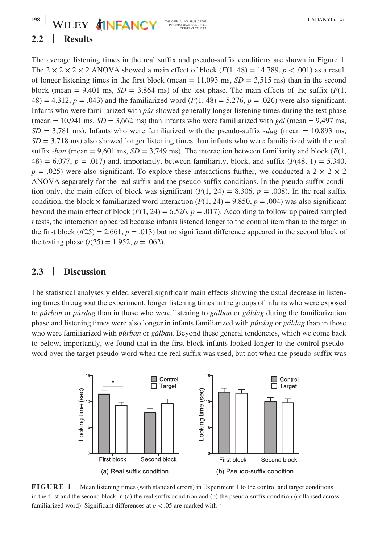# **2.2** | **Results**

The average listening times in the real suffix and pseudo-suffix conditions are shown in Figure 1. The  $2 \times 2 \times 2 \times 2$  ANOVA showed a main effect of block  $(F(1, 48) = 14.789, p < .001)$  as a result of longer listening times in the first block (mean  $= 11,093$  ms,  $SD = 3,515$  ms) than in the second block (mean  $= 9,401$  ms,  $SD = 3,864$  ms) of the test phase. The main effects of the suffix ( $F(1, 1)$ 48) = 4.312,  $p = .043$  and the familiarized word  $(F(1, 48) = 5.276, p = .026)$  were also significant. Infants who were familiarized with *púr* showed generally longer listening times during the test phase (mean = 10,941 ms,  $SD = 3,662$  ms) than infants who were familiarized with *gál* (mean = 9,497 ms,  $SD = 3,781$  ms). Infants who were familiarized with the pseudo-suffix *-dag* (mean = 10,893 ms,  $SD = 3,718$  ms) also showed longer listening times than infants who were familiarized with the real suffix *-ban* (mean = 9,601 ms,  $SD = 3,749$  ms). The interaction between familiarity and block ( $F(1,$  $48$ ) = 6.077,  $p = .017$ ) and, importantly, between familiarity, block, and suffix  $(F(48, 1) = 5.340$ ,  $p = .025$ ) were also significant. To explore these interactions further, we conducted a 2  $\times$  2  $\times$  2 ANOVA separately for the real suffix and the pseudo-suffix conditions. In the pseudo-suffix condition only, the main effect of block was significant  $(F(1, 24) = 8.306, p = .008)$ . In the real suffix condition, the block  $\times$  familiarized word interaction ( $F(1, 24) = 9.850$ ,  $p = .004$ ) was also significant beyond the main effect of block  $(F(1, 24) = 6.526, p = .017)$ . According to follow-up paired sampled *t* tests, the interaction appeared because infants listened longer to the control item than to the target in the first block  $(t(25) = 2.661, p = .013)$  but no significant difference appeared in the second block of the testing phase  $(t(25) = 1.952, p = .062)$ .

## **2.3** | **Discussion**

The statistical analyses yielded several significant main effects showing the usual decrease in listening times throughout the experiment, longer listening times in the groups of infants who were exposed to *púrban* or *púrdag* than in those who were listening to *gálban* or *gáldag* during the familiarization phase and listening times were also longer in infants familiarized with *púrdag* or *gáldag* than in those who were familiarized with *púrban* or *gálban*. Beyond these general tendencies, which we come back to below, importantly, we found that in the first block infants looked longer to the control pseudoword over the target pseudo-word when the real suffix was used, but not when the pseudo-suffix was



**FIGURE 1** Mean listening times (with standard errors) in Experiment 1 to the control and target conditions in the first and the second block in (a) the real suffix condition and (b) the pseudo-suffix condition (collapsed across familiarized word). Significant differences at  $p < .05$  are marked with  $*$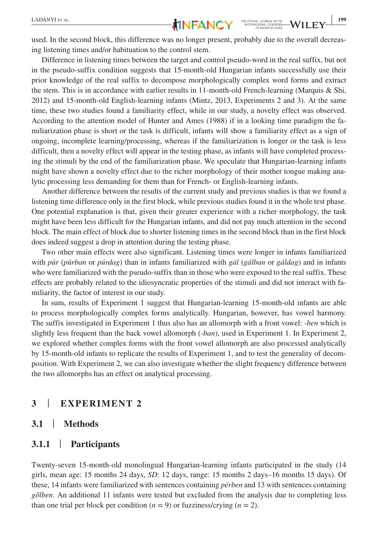used. In the second block, this difference was no longer present, probably due to the overall decreasing listening times and/or habituation to the control stem.

Difference in listening times between the target and control pseudo-word in the real suffix, but not in the pseudo-suffix condition suggests that 15-month-old Hungarian infants successfully use their prior knowledge of the real suffix to decompose morphologically complex word forms and extract the stem. This is in accordance with earlier results in 11-month-old French-learning (Marquis & Shi, 2012) and 15-month-old English-learning infants (Mintz, 2013, Experiments 2 and 3). At the same time, these two studies found a familiarity effect, while in our study, a novelty effect was observed. According to the attention model of Hunter and Ames (1988) if in a looking time paradigm the familiarization phase is short or the task is difficult, infants will show a familiarity effect as a sign of ongoing, incomplete learning/processing, whereas if the familiarization is longer or the task is less difficult, then a novelty effect will appear in the testing phase, as infants will have completed processing the stimuli by the end of the familiarization phase. We speculate that Hungarian-learning infants might have shown a novelty effect due to the richer morphology of their mother tongue making analytic processing less demanding for them than for French- or English-learning infants.

Another difference between the results of the current study and previous studies is that we found a listening time difference only in the first block, while previous studies found it in the whole test phase. One potential explanation is that, given their greater experience with a richer morphology, the task might have been less difficult for the Hungarian infants, and did not pay much attention in the second block. The main effect of block due to shorter listening times in the second block than in the first block does indeed suggest a drop in attention during the testing phase.

Two other main effects were also significant. Listening times were longer in infants familiarized with *púr* (*púrban* or *púrdag*) than in infants familiarized with *gál* (*gálban* or *gáldag*) and in infants who were familiarized with the pseudo-suffix than in those who were exposed to the real suffix. These effects are probably related to the idiosyncratic properties of the stimuli and did not interact with familiarity, the factor of interest in our study.

In sum, results of Experiment 1 suggest that Hungarian-learning 15-month-old infants are able to process morphologically complex forms analytically. Hungarian, however, has vowel harmony. The suffix investigated in Experiment 1 thus also has an allomorph with a front vowel: *-ben* which is slightly less frequent than the back vowel allomorph (*-ban*), used in Experiment 1. In Experiment 2, we explored whether complex forms with the front vowel allomorph are also processed analytically by 15-month-old infants to replicate the results of Experiment 1, and to test the generality of decomposition. With Experiment 2, we can also investigate whether the slight frequency difference between the two allomorphs has an effect on analytical processing.

# **3** | **EXPERIMENT 2**

#### **3.1** | **Methods**

#### **3.1.1** | **Participants**

Twenty-seven 15-month-old monolingual Hungarian-learning infants participated in the study (14 girls, mean age: 15 months 24 days, *SD*: 12 days, range: 15 months 2 days–16 months 15 days). Of these, 14 infants were familiarized with sentences containing *pérben* and 13 with sentences containing *gőlben*. An additional 11 infants were tested but excluded from the analysis due to completing less than one trial per block per condition  $(n = 9)$  or fuzziness/crying  $(n = 2)$ .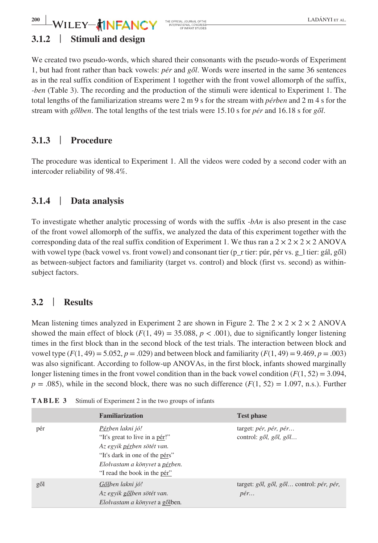# **3.1.2** | **Stimuli and design**

We created two pseudo-words, which shared their consonants with the pseudo-words of Experiment 1, but had front rather than back vowels: *pér* and *gől*. Words were inserted in the same 36 sentences as in the real suffix condition of Experiment 1 together with the front vowel allomorph of the suffix, *-ben* (Table 3). The recording and the production of the stimuli were identical to Experiment 1. The total lengths of the familiarization streams were 2 m 9 s for the stream with *pérben* and 2 m 4 s for the stream with *gőlben*. The total lengths of the test trials were 15.10 s for *pér* and 16.18 s for *gől*.

# **3.1.3** | **Procedure**

The procedure was identical to Experiment 1. All the videos were coded by a second coder with an intercoder reliability of 98.4%.

# **3.1.4** | **Data analysis**

To investigate whether analytic processing of words with the suffix *-bAn* is also present in the case of the front vowel allomorph of the suffix, we analyzed the data of this experiment together with the corresponding data of the real suffix condition of Experiment 1. We thus ran a  $2 \times 2 \times 2 \times 2$  ANOVA with vowel type (back vowel vs. front vowel) and consonant tier (p\_r tier: púr, pér vs. g\_l tier: gál, gől) as between-subject factors and familiarity (target vs. control) and block (first vs. second) as withinsubject factors.

# **3.2** | **Results**

Mean listening times analyzed in Experiment 2 are shown in Figure 2. The  $2 \times 2 \times 2 \times 2$  ANOVA showed the main effect of block  $(F(1, 49) = 35.088, p < .001)$ , due to significantly longer listening times in the first block than in the second block of the test trials. The interaction between block and vowel type  $(F(1, 49) = 5.052, p = .029)$  and between block and familiarity  $(F(1, 49) = 9.469, p = .003)$ was also significant. According to follow-up ANOVAs, in the first block, infants showed marginally longer listening times in the front vowel condition than in the back vowel condition  $(F(1, 52) = 3.094$ ,  $p = .085$ ), while in the second block, there was no such difference  $(F(1, 52) = 1.097, n.s.)$ . Further

|     | <b>Familiarization</b>                                                                                                                                                               | <b>Test phase</b>                                                                 |
|-----|--------------------------------------------------------------------------------------------------------------------------------------------------------------------------------------|-----------------------------------------------------------------------------------|
| pér | Pérben lakni jó!<br>"It's great to live in a pér!"<br>Az egyik pérben sötét van.<br>"It's dark in one of the pérs"<br>Elolvastam a könyvet a pérben.<br>"I read the book in the pér" | target: $pér$ , $pér$ , $pér$<br>control: $g\delta l$ , $g\delta l$ , $g\delta l$ |
| gől | Gőlben lakni jó!<br>Az egyik gőlben sötét van.<br>Elolvastam a könyvet a gőlben.                                                                                                     | target: gől, gől, gől control: pér, pér,<br>pér                                   |

**TABLE 3** Stimuli of Experiment 2 in the two groups of infants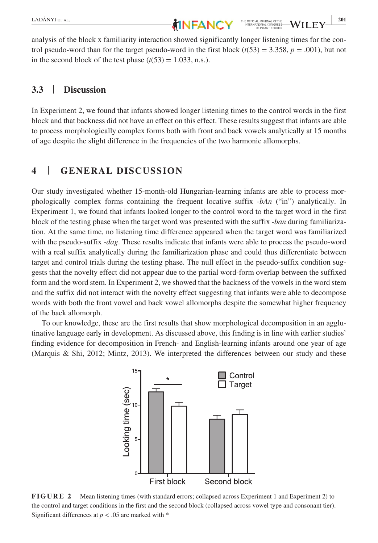

analysis of the block x familiarity interaction showed significantly longer listening times for the control pseudo-word than for the target pseudo-word in the first block  $(t(53) = 3.358, p = .001)$ , but not in the second block of the test phase  $(t(53) = 1.033, n.s.).$ 

#### **3.3** | **Discussion**

In Experiment 2, we found that infants showed longer listening times to the control words in the first block and that backness did not have an effect on this effect. These results suggest that infants are able to process morphologically complex forms both with front and back vowels analytically at 15 months of age despite the slight difference in the frequencies of the two harmonic allomorphs.

# **4** | **GENERAL DISCUSSION**

Our study investigated whether 15-month-old Hungarian-learning infants are able to process morphologically complex forms containing the frequent locative suffix *-bAn* ("in") analytically. In Experiment 1, we found that infants looked longer to the control word to the target word in the first block of the testing phase when the target word was presented with the suffix *-ban* during familiarization. At the same time, no listening time difference appeared when the target word was familiarized with the pseudo-suffix *-dag*. These results indicate that infants were able to process the pseudo-word with a real suffix analytically during the familiarization phase and could thus differentiate between target and control trials during the testing phase. The null effect in the pseudo-suffix condition suggests that the novelty effect did not appear due to the partial word-form overlap between the suffixed form and the word stem. In Experiment 2, we showed that the backness of the vowels in the word stem and the suffix did not interact with the novelty effect suggesting that infants were able to decompose words with both the front vowel and back vowel allomorphs despite the somewhat higher frequency of the back allomorph.

To our knowledge, these are the first results that show morphological decomposition in an agglutinative language early in development. As discussed above, this finding is in line with earlier studies' finding evidence for decomposition in French- and English-learning infants around one year of age (Marquis & Shi, 2012; Mintz, 2013). We interpreted the differences between our study and these



**FIGURE 2** Mean listening times (with standard errors; collapsed across Experiment 1 and Experiment 2) to the control and target conditions in the first and the second block (collapsed across vowel type and consonant tier). Significant differences at  $p < .05$  are marked with  $*$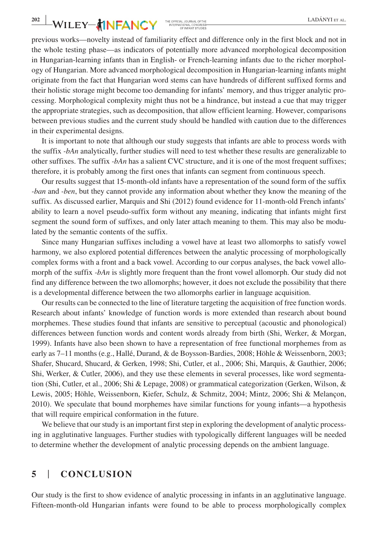**202 WILEY—ÅINFANCY** THE OFFICIAL JOURNAL OFTHE **LADÁNYI ET AL.** 

previous works—novelty instead of familiarity effect and difference only in the first block and not in the whole testing phase—as indicators of potentially more advanced morphological decomposition in Hungarian-learning infants than in English- or French-learning infants due to the richer morphology of Hungarian. More advanced morphological decomposition in Hungarian-learning infants might originate from the fact that Hungarian word stems can have hundreds of different suffixed forms and their holistic storage might become too demanding for infants' memory, and thus trigger analytic processing. Morphological complexity might thus not be a hindrance, but instead a cue that may trigger the appropriate strategies, such as decomposition, that allow efficient learning. However, comparisons between previous studies and the current study should be handled with caution due to the differences in their experimental designs.

It is important to note that although our study suggests that infants are able to process words with the suffix *-bAn* analytically, further studies will need to test whether these results are generalizable to other suffixes. The suffix *-bAn* has a salient CVC structure, and it is one of the most frequent suffixes; therefore, it is probably among the first ones that infants can segment from continuous speech.

Our results suggest that 15-month-old infants have a representation of the sound form of the suffix *-ban* and *-ben*, but they cannot provide any information about whether they know the meaning of the suffix. As discussed earlier, Marquis and Shi (2012) found evidence for 11-month-old French infants' ability to learn a novel pseudo-suffix form without any meaning, indicating that infants might first segment the sound form of suffixes, and only later attach meaning to them. This may also be modulated by the semantic contents of the suffix.

Since many Hungarian suffixes including a vowel have at least two allomorphs to satisfy vowel harmony, we also explored potential differences between the analytic processing of morphologically complex forms with a front and a back vowel. According to our corpus analyses, the back vowel allomorph of the suffix *-bAn* is slightly more frequent than the front vowel allomorph. Our study did not find any difference between the two allomorphs; however, it does not exclude the possibility that there is a developmental difference between the two allomorphs earlier in language acquisition.

Our results can be connected to the line of literature targeting the acquisition of free function words. Research about infants' knowledge of function words is more extended than research about bound morphemes. These studies found that infants are sensitive to perceptual (acoustic and phonological) differences between function words and content words already from birth (Shi, Werker, & Morgan, 1999). Infants have also been shown to have a representation of free functional morphemes from as early as 7–11 months (e.g., Hallé, Durand, & de Boysson-Bardies, 2008; Höhle & Weissenborn, 2003; Shafer, Shucard, Shucard, & Gerken, 1998; Shi, Cutler, et al., 2006; Shi, Marquis, & Gauthier, 2006; Shi, Werker, & Cutler, 2006), and they use these elements in several processes, like word segmentation (Shi, Cutler, et al., 2006; Shi & Lepage, 2008) or grammatical categorization (Gerken, Wilson, & Lewis, 2005; Höhle, Weissenborn, Kiefer, Schulz, & Schmitz, 2004; Mintz, 2006; Shi & Melançon, 2010). We speculate that bound morphemes have similar functions for young infants—a hypothesis that will require empirical conformation in the future.

We believe that our study is an important first step in exploring the development of analytic processing in agglutinative languages. Further studies with typologically different languages will be needed to determine whether the development of analytic processing depends on the ambient language.

## **5** | **CONCLUSION**

Our study is the first to show evidence of analytic processing in infants in an agglutinative language. Fifteen-month-old Hungarian infants were found to be able to process morphologically complex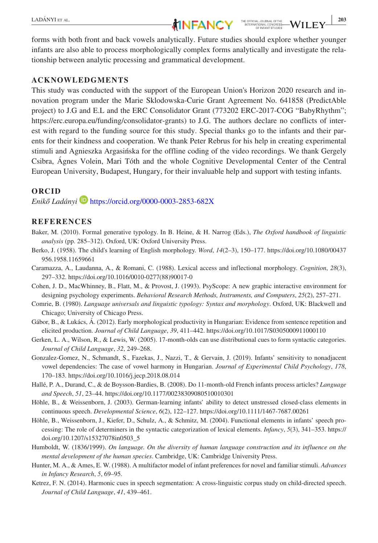# **LADÁNYI** ET AL. **203**<br>**AINFEANCY** THE OFFICIAL JOURNAL CONGRESS WILEY 203

forms with both front and back vowels analytically. Future studies should explore whether younger infants are also able to process morphologically complex forms analytically and investigate the relationship between analytic processing and grammatical development.

#### **ACKNOWLEDGMENTS**

This study was conducted with the support of the European Union's Horizon 2020 research and innovation program under the Marie Sklodowska-Curie Grant Agreement No. 641858 (PredictAble project) to J.G and E.L and the ERC Consolidator Grant (773202 ERC-2017-COG "BabyRhythm"; <https://erc.europa.eu/funding/consolidator-grants>) to J.G. The authors declare no conflicts of interest with regard to the funding source for this study. Special thanks go to the infants and their parents for their kindness and cooperation. We thank Peter Rebrus for his help in creating experimental stimuli and Agnieszka Argasińska for the offline coding of the video recordings. We thank Gergely Csibra, Ágnes Volein, Mari Tóth and the whole Cognitive Developmental Center of the Central European University, Budapest, Hungary, for their invaluable help and support with testing infants.

#### **ORCID**

*Enikő Ladányi* <https://orcid.org/0000-0003-2853-682X>

#### **REFERENCES**

- Baker, M. (2010). Formal generative typology. In B. Heine, & H. Narrog (Eds.), *The Oxford handbook of linguistic analysis* (pp. 285–312). Oxford, UK: Oxford University Press.
- Berko, J. (1958). The child's learning of English morphology. *Word*, *14*(2–3), 150–177. [https://doi.org/10.1080/00437](https://doi.org/10.1080/00437956.1958.11659661) [956.1958.11659661](https://doi.org/10.1080/00437956.1958.11659661)
- Caramazza, A., Laudanna, A., & Romani, C. (1988). Lexical access and inflectional morphology. *Cognition*, *28*(3), 297–332. [https://doi.org/10.1016/0010-0277\(88\)90017-0](https://doi.org/10.1016/0010-0277(88)90017-0)
- Cohen, J. D., MacWhinney, B., Flatt, M., & Provost, J. (1993). PsyScope: A new graphic interactive environment for designing psychology experiments. *Behavioral Research Methods, Instruments, and Computers*, *25*(2), 257–271.
- Comrie, B. (1980). *Language universals and linguistic typology: Syntax and morphology*. Oxford, UK: Blackwell and Chicago; University of Chicago Press.
- Gábor, B., & Lukács, Á. (2012). Early morphological productivity in Hungarian: Evidence from sentence repetition and elicited production. *Journal of Child Language*, *39*, 411–442. <https://doi.org/10.1017/S0305000911000110>
- Gerken, L. A., Wilson, R., & Lewis, W. (2005). 17-month-olds can use distributional cues to form syntactic categories. *Journal of Child Language*, *32*, 249–268.
- Gonzalez-Gomez, N., Schmandt, S., Fazekas, J., Nazzi, T., & Gervain, J. (2019). Infants' sensitivity to nonadjacent vowel dependencies: The case of vowel harmony in Hungarian. *Journal of Experimental Child Psychology*, *178*, 170–183. <https://doi.org/10.1016/j.jecp.2018.08.014>
- Hallé, P. A., Durand, C., & de Boysson-Bardies, B. (2008). Do 11-month-old French infants process articles? *Language and Speech*, *51*, 23–44. <https://doi.org/10.1177/00238309080510010301>
- Höhle, B., & Weissenborn, J. (2003). German-learning infants' ability to detect unstressed closed-class elements in continuous speech. *Developmental Science*, *6*(2), 122–127.<https://doi.org/10.1111/1467-7687.00261>
- Höhle, B., Weissenborn, J., Kiefer, D., Schulz, A., & Schmitz, M. (2004). Functional elements in infants' speech processing: The role of determiners in the syntactic categorization of lexical elements. *Infancy*, *5*(3), 341–353. [https://](https://doi.org/10.1207/s15327078in0503_5) [doi.org/10.1207/s15327078in0503\\_5](https://doi.org/10.1207/s15327078in0503_5)
- Humboldt, W. (1836/1999). *On language. On the diversity of human language construction and its influence on the mental development of the human species*. Cambridge, UK: Cambridge University Press.
- Hunter, M. A., & Ames, E. W. (1988). A multifactor model of infant preferences for novel and familiar stimuli. *Advances in Infancy Research*, *5*, 69–95.
- Ketrez, F. N. (2014). Harmonic cues in speech segmentation: A cross-linguistic corpus study on child-directed speech. *Journal of Child Language*, *41*, 439–461.